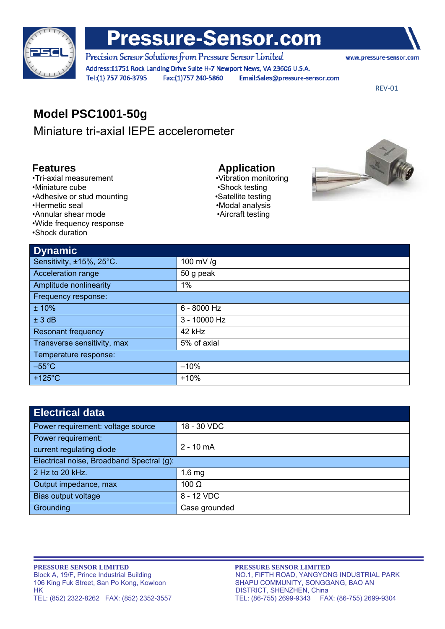

# **Pressure-Sensor.com**

Precision Sensor Solutions from Pressure Sensor Limited Address:11751 Rock Landing Drive Suite H-7 Newport News, VA 23606 U.S.A. Tel:(1) 757 706-3795 Fax:(1)757 240-5860 Email:Sales@pressure-sensor.com

www.pressure-sensor.com

REV‐01

## **Model PSC1001-50g**

Miniature tri-axial IEPE accelerometer

- **Features**<br>
•Tri-axial measurement<br>
 Vibration monitoring •Tri-axial measurement
- •Miniature cube •Shock testing
- •Adhesive or stud mounting values are very studied values of studies of values of values of values of values  $\bullet$ Satellite testing
- 
- •Annular shear mode •**Aircraft testing**
- •Wide frequency response
- •Shock duration

•Hermetic seal •Modal analysis



| <b>Dynamic</b>              |              |  |
|-----------------------------|--------------|--|
| Sensitivity, ±15%, 25°C.    | 100 mV/g     |  |
| Acceleration range          | 50 g peak    |  |
| Amplitude nonlinearity      | 1%           |  |
| Frequency response:         |              |  |
| ±10%                        | 6 - 8000 Hz  |  |
| ± 3 dB                      | 3 - 10000 Hz |  |
| <b>Resonant frequency</b>   | 42 kHz       |  |
| Transverse sensitivity, max | 5% of axial  |  |
| Temperature response:       |              |  |
| $-55^{\circ}$ C             | $-10%$       |  |
| $+125^{\circ}$ C            | $+10%$       |  |

| <b>Electrical data</b>                    |               |  |
|-------------------------------------------|---------------|--|
| Power requirement: voltage source         | 18 - 30 VDC   |  |
| Power requirement:                        |               |  |
| current regulating diode                  | $2 - 10$ mA   |  |
| Electrical noise, Broadband Spectral (g): |               |  |
| 2 Hz to 20 kHz.                           | $1.6$ mg      |  |
| Output impedance, max                     | 100 $\Omega$  |  |
| Bias output voltage                       | 8 - 12 VDC    |  |
| Grounding                                 | Case grounded |  |

**PRESSURE SENSOR LIMITED**<br>Block A, 19/F, Prince Industrial Building **PRESSURE SENSOR LIMITED**<br>NO.1, FIFTH ROAD, YANGYON 106 King Fuk Street, San Po Kong, Kowloon SHAPU COMMUNITY, SONGGANG, BAO AN HK DISTRICT, SHENZHEN, China